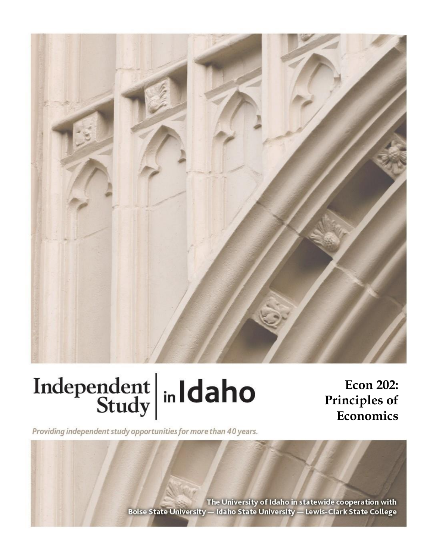

# Independent  $\left|\frac{\text{ind}}{\text{study}}\right|$  in Idaho

**Econ 202:**

Providing independent study opportunities for more than 40 years.

**Principles of Economics**

The University of Idaho in statewide cooperation with Boise State University - Idaho State University - Lewis-Clark State College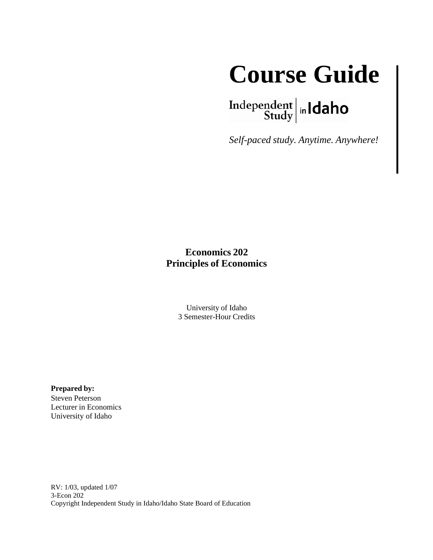

 $\left.\begin{array}{c|c} \textbf{Independent} & \textbf{h} \\ \textbf{Study} & \textbf{h} \end{array}\right.$ 

*Self-paced study. Anytime. Anywhere!*

# **Economics 202 Principles of Economics**

University of Idaho 3 Semester-Hour Credits

**Prepared by:**

Steven Peterson Lecturer in Economics University of Idaho

RV: 1/03, updated 1/07 3-Econ 202 Copyright Independent Study in Idaho/Idaho State Board of Education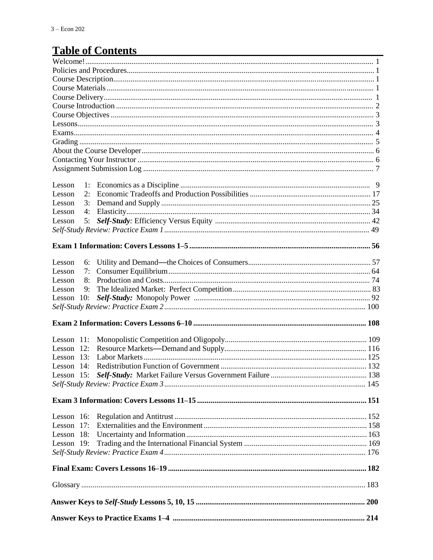# **Table of Contents**

| Lesson 19:                   |  |
|------------------------------|--|
| Lesson 18:                   |  |
| Lesson $17$ :                |  |
| Lesson 16:                   |  |
|                              |  |
|                              |  |
|                              |  |
| Lesson 14:                   |  |
| Lesson 13:                   |  |
| Lesson $11$ :<br>Lesson 12:  |  |
|                              |  |
|                              |  |
| Lesson 10:                   |  |
| Lesson<br>9:                 |  |
| 8:<br>Lesson                 |  |
| Lesson<br>6:<br>Lesson<br>7: |  |
|                              |  |
|                              |  |
|                              |  |
| 5:<br>Lesson                 |  |
| 4:<br>Lesson                 |  |
| Lesson<br>$\overline{3}$ :   |  |
| Lesson<br>1:<br>Lesson<br>2: |  |
|                              |  |
|                              |  |
|                              |  |
|                              |  |
|                              |  |
|                              |  |
|                              |  |
|                              |  |
|                              |  |
|                              |  |
|                              |  |
|                              |  |
|                              |  |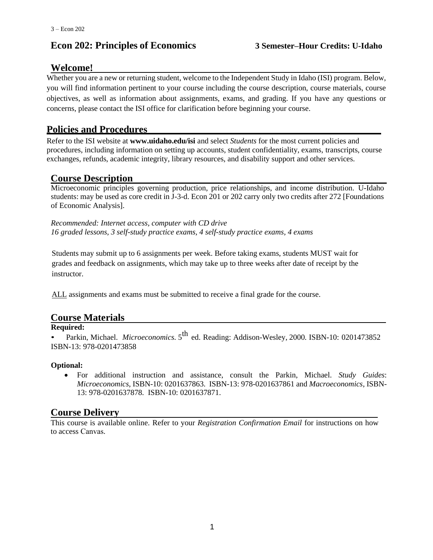# **Econ 202: Principles of Economics 3 Semester–Hour Credits: U-Idaho**

# **Welcome!**

Whether you are a new or returning student, welcome to the Independent Study in Idaho (ISI) program. Below, you will find information pertinent to your course including the course description, course materials, course objectives, as well as information about assignments, exams, and grading. If you have any questions or concerns, please contact the ISI office for clarification before beginning your course.

# **Policies and Procedures**

Refer to the ISI website at **www.uidaho.edu/isi** and select *Students* for the most current policies and procedures, including information on setting up accounts, student confidentiality, exams, transcripts, course exchanges, refunds, academic integrity, library resources, and disability support and other services.

# **Course Description**

Microeconomic principles governing production, price relationships, and income distribution. U-Idaho students: may be used as core credit in J-3-d. Econ 201 or 202 carry only two credits after 272 [Foundations of Economic Analysis].

*Recommended: Internet access, computer with CD drive 16 graded lessons, 3 self-study practice exams, 4 self-study practice exams, 4 exams*

Students may submit up to 6 assignments per week. Before taking exams, students MUST wait for grades and feedback on assignments, which may take up to three weeks after date of receipt by the instructor.

ALL assignments and exams must be submitted to receive a final grade for the course.

# **Course Materials**

#### **Required:**

• Parkin, Michael. *Microeconomics*. 5<sup>th</sup> ed. Reading: Addison-Wesley, 2000. ISBN-10: 0201473852 ISBN-13: 978-0201473858

#### **Optional:**

• For additional instruction and assistance, consult the Parkin, Michael. *Study Guides*: *Microeconomics*, ISBN-10: 0201637863. ISBN-13: 978-0201637861 and *Macroeconomics*, ISBN-13: 978-0201637878. ISBN-10: 0201637871.

# **Course Delivery**

This course is available online. Refer to your *Registration Confirmation Email* for instructions on how to access Canvas.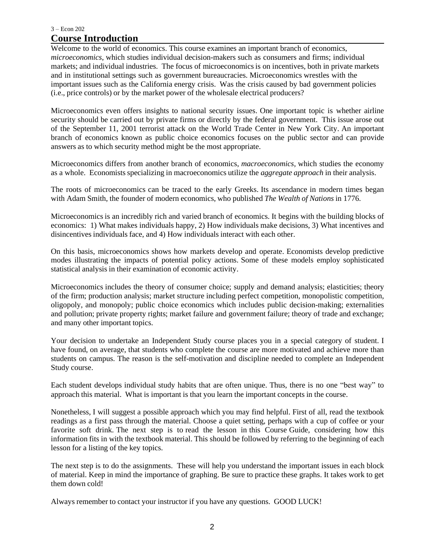#### 3 – Econ 202 **Course Introduction**

Welcome to the world of economics. This course examines an important branch of economics, *microeconomics*, which studies individual decision-makers such as consumers and firms; individual markets; and individual industries. The focus of microeconomicsis on incentives, both in private markets and in institutional settings such as government bureaucracies. Microeconomics wrestles with the important issues such as the California energy crisis. Was the crisis caused by bad government policies (i.e., price controls) or by the market power of the wholesale electrical producers?

Microeconomics even offers insights to national security issues. One important topic is whether airline security should be carried out by private firms or directly by the federal government. This issue arose out of the September 11, 2001 terrorist attack on the World Trade Center in New York City. An important branch of economics known as public choice economics focuses on the public sector and can provide answers as to which security method might be the most appropriate.

Microeconomics differs from another branch of economics, *macroeconomics,* which studies the economy as a whole. Economists specializing in macroeconomics utilize the *aggregate approach* in their analysis.

The roots of microeconomics can be traced to the early Greeks. Its ascendance in modern times began with Adam Smith, the founder of modern economics, who published *The Wealth of Nations* in 1776.

Microeconomics is an incredibly rich and varied branch of economics. It begins with the building blocks of economics: 1) What makes individuals happy, 2) How individuals make decisions, 3) What incentives and disincentives individuals face, and 4) How individuals interact with each other.

On this basis, microeconomics shows how markets develop and operate. Economists develop predictive modes illustrating the impacts of potential policy actions. Some of these models employ sophisticated statistical analysis in their examination of economic activity.

Microeconomics includes the theory of consumer choice; supply and demand analysis; elasticities; theory of the firm; production analysis; market structure including perfect competition, monopolistic competition, oligopoly, and monopoly; public choice economics which includes public decision-making; externalities and pollution; private property rights; market failure and government failure; theory of trade and exchange; and many other important topics.

Your decision to undertake an Independent Study course places you in a special category of student. I have found, on average, that students who complete the course are more motivated and achieve more than students on campus. The reason is the self-motivation and discipline needed to complete an Independent Study course.

Each student develops individual study habits that are often unique. Thus, there is no one "best way" to approach this material. What is important is that you learn the important concepts in the course.

Nonetheless, I will suggest a possible approach which you may find helpful. First of all, read the textbook readings as a first pass through the material. Choose a quiet setting, perhaps with a cup of coffee or your favorite soft drink. The next step is to read the lesson in this Course Guide, considering how this information fits in with the textbook material. This should be followed by referring to the beginning of each lesson for a listing of the key topics.

The next step is to do the assignments. These will help you understand the important issues in each block of material. Keep in mind the importance of graphing. Be sure to practice these graphs. It takes work to get them down cold!

Always remember to contact your instructor if you have any questions. GOOD LUCK!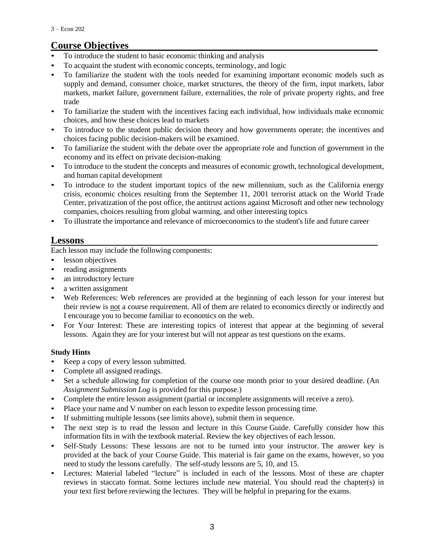# **Course Objectives**

- To introduce the student to basic economic thinking and analysis
- To acquaint the student with economic concepts, terminology, and logic
- To familiarize the student with the tools needed for examining important economic models such as supply and demand, consumer choice, market structures, the theory of the firm, input markets, labor markets, market failure, government failure, externalities, the role of private property rights, and free trade
- To familiarize the student with the incentives facing each individual, how individuals make economic choices, and how these choices lead to markets
- To introduce to the student public decision theory and how governments operate; the incentives and choices facing public decision-makers will be examined.
- To familiarize the student with the debate over the appropriate role and function of government in the economy and its effect on private decision-making
- To introduce to the student the concepts and measures of economic growth, technological development, and human capital development
- To introduce to the student important topics of the new millennium, such as the California energy crisis, economic choices resulting from the September 11, 2001 terrorist attack on the World Trade Center, privatization of the post office, the antitrust actions against Microsoft and other new technology companies, choices resulting from global warming, and other interesting topics
- To illustrate the importance and relevance of microeconomics to the student's life and future career

# **Lessons**

Each lesson may include the following components:

- lesson objectives
- reading assignments
- an introductory lecture
- a written assignment
- Web References: Web references are provided at the beginning of each lesson for your interest but their review is not a course requirement. All of them are related to economics directly or indirectly and I encourage you to become familiar to economics on the web.
- For Your Interest: These are interesting topics of interest that appear at the beginning of several lessons. Again they are for your interest but will not appear as test questions on the exams.

## **Study Hints**

- Keep a copy of every lesson submitted.
- Complete all assigned readings.
- Set a schedule allowing for completion of the course one month prior to your desired deadline. (An *Assignment Submission Log* is provided for this purpose.)
- Complete the entire lesson assignment (partial or incomplete assignments will receive a zero).
- Place your name and V number on each lesson to expedite lesson processing time.
- If submitting multiple lessons (see limits above), submit them in sequence.
- The next step is to read the lesson and lecture in this Course Guide. Carefully consider how this information fits in with the textbook material. Review the key objectives of each lesson.
- Self-Study Lessons: These lessons are not to be turned into your instructor. The answer key is provided at the back of your Course Guide. This material is fair game on the exams, however, so you need to study the lessons carefully. The self-study lessons are 5, 10, and 15.
- Lectures: Material labeled "lecture" is included in each of the lessons. Most of these are chapter reviews in staccato format. Some lectures include new material. You should read the chapter(s) in your text first before reviewing the lectures. They will be helpful in preparing for the exams.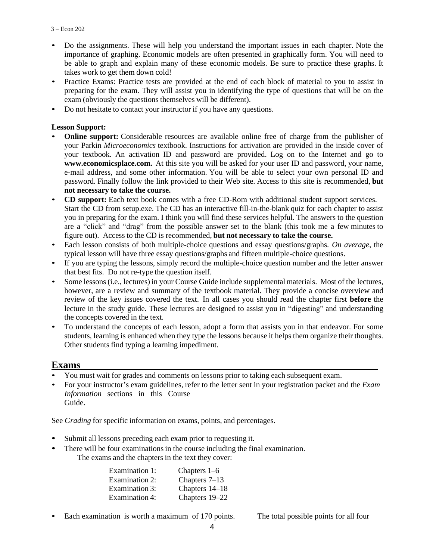- Do the assignments. These will help you understand the important issues in each chapter. Note the importance of graphing. Economic models are often presented in graphically form. You will need to be able to graph and explain many of these economic models. Be sure to practice these graphs. It takes work to get them down cold!
- Practice Exams: Practice tests are provided at the end of each block of material to you to assist in preparing for the exam. They will assist you in identifying the type of questions that will be on the exam (obviously the questions themselves will be different).
- Do not hesitate to contact your instructor if you have any questions.

#### **Lesson Support:**

- **Online support:** Considerable resources are available online free of charge from the publisher of your Parkin *Microeconomics* textbook. Instructions for activation are provided in the inside cover of your textbook. An activation ID and password are provided. Log on to the Internet and go to **[www.economicsplace.com.](http://www.economicsplace.com/)** At this site you will be asked for your user ID and password, your name, e-mail address, and some other information. You will be able to select your own personal ID and password. Finally follow the link provided to their Web site. Access to this site is recommended, **but not necessary to take the course.**
- **CD support:** Each text book comes with a free CD-Rom with additional student support services. Start the CD from setup.exe. The CD has an interactive fill-in-the-blank quiz for each chapter to assist you in preparing for the exam. I think you will find these services helpful. The answers to the question are a "click" and "drag" from the possible answer set to the blank (this took me a few minutes to figure out). Access to the CD is recommended, **but not necessary to take the course.**
- Each lesson consists of both multiple-choice questions and essay questions/graphs. *On average*, the typical lesson will have three essay questions/graphs and fifteen multiple-choice questions.
- If you are typing the lessons, simply record the multiple-choice question number and the letter answer that best fits. Do not re-type the question itself.
- Some lessons (i.e., lectures) in your Course Guide include supplemental materials. Most of the lectures, however, are a review and summary of the textbook material. They provide a concise overview and review of the key issues covered the text. In all cases you should read the chapter first **before** the lecture in the study guide. These lectures are designed to assist you in "digesting" and understanding the concepts covered in the text.
- To understand the concepts of each lesson, adopt a form that assists you in that endeavor. For some students, learning is enhanced when they type the lessons because it helps them organize their thoughts. Other students find typing a learning impediment.

## **Exams**

- You must wait for grades and comments on lessons prior to taking each subsequent exam.
- For your instructor's exam guidelines, refer to the letter sent in your registration packet and the *Exam Information* sections in this Course Guide.

See *Grading* for specific information on exams, points, and percentages.

- Submit all lessons preceding each exam prior to requesting it.
- There will be four examinations in the course including the final examination. The exams and the chapters in the text they cover:

| Chapters 1–6    |
|-----------------|
| Chapters $7-13$ |
| Chapters 14-18  |
| Chapters 19-22  |
|                 |

• Each examination is worth a maximum of 170 points. The total possible points for all four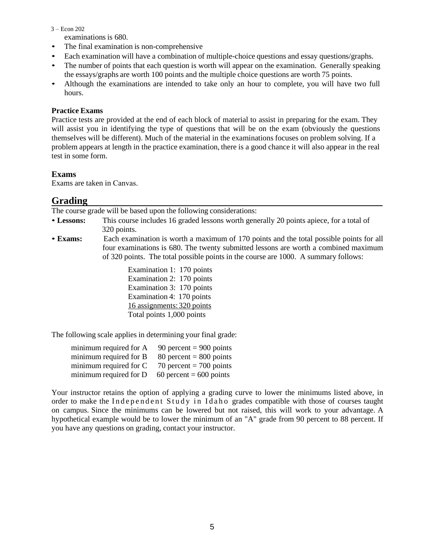#### 3 – Econ 202

examinations is 680.

- The final examination is non-comprehensive
- Each examination will have a combination of multiple-choice questions and essay questions/graphs.
- The number of points that each question is worth will appear on the examination. Generally speaking the essays/graphs are worth 100 points and the multiple choice questions are worth 75 points.
- Although the examinations are intended to take only an hour to complete, you will have two full hours.

#### **Practice Exams**

Practice tests are provided at the end of each block of material to assist in preparing for the exam. They will assist you in identifying the type of questions that will be on the exam (obviously the questions themselves will be different). Much of the material in the examinations focuses on problem solving. If a problem appears at length in the practice examination, there is a good chance it will also appear in the real test in some form.

#### **Exams**

Exams are taken in Canvas.

#### **Grading**

The course grade will be based upon the following considerations:

- **Lessons:** This course includes 16 graded lessons worth generally 20 points apiece, for a total of 320 points.
- **Exams:** Each examination is worth a maximum of 170 points and the total possible points for all four examinations is 680. The twenty submitted lessons are worth a combined maximum of 320 points. The total possible points in the course are 1000. A summary follows:

Examination 1: 170 points Examination 2: 170 points Examination 3: 170 points Examination 4: 170 points 16 assignments: 320 points Total points 1,000 points

The following scale applies in determining your final grade:

| minimum required for A | 90 percent = $900$ points |
|------------------------|---------------------------|
| minimum required for B | 80 percent = $800$ points |
| minimum required for C | 70 percent = 700 points   |
| minimum required for D | 60 percent = $600$ points |

Your instructor retains the option of applying a grading curve to lower the minimums listed above, in order to make the Independent Study in Idaho grades compatible with those of courses taught on campus. Since the minimums can be lowered but not raised, this will work to your advantage. A hypothetical example would be to lower the minimum of an "A" grade from 90 percent to 88 percent. If you have any questions on grading, contact your instructor.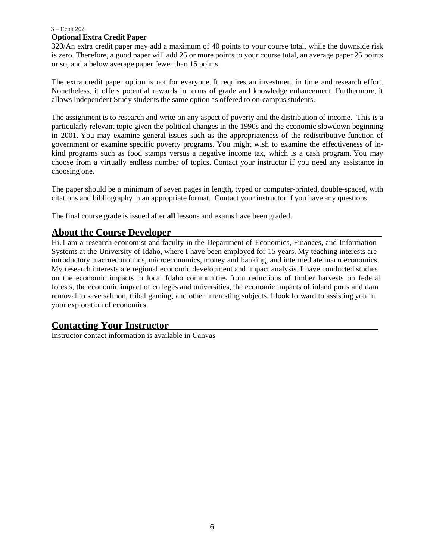#### 3 – Econ 202

#### **Optional Extra Credit Paper**

320/An extra credit paper may add a maximum of 40 points to your course total, while the downside risk is zero. Therefore, a good paper will add 25 or more points to your course total, an average paper 25 points or so, and a below average paper fewer than 15 points.

The extra credit paper option is not for everyone. It requires an investment in time and research effort. Nonetheless, it offers potential rewards in terms of grade and knowledge enhancement. Furthermore, it allows Independent Study students the same option as offered to on-campus students.

The assignment is to research and write on any aspect of poverty and the distribution of income. This is a particularly relevant topic given the political changes in the 1990s and the economic slowdown beginning in 2001. You may examine general issues such as the appropriateness of the redistributive function of government or examine specific poverty programs. You might wish to examine the effectiveness of inkind programs such as food stamps versus a negative income tax, which is a cash program. You may choose from a virtually endless number of topics. Contact your instructor if you need any assistance in choosing one.

The paper should be a minimum of seven pages in length, typed or computer-printed, double-spaced, with citations and bibliography in an appropriate format. Contact your instructor if you have any questions.

The final course grade is issued after **all** lessons and exams have been graded.

# **About the Course Developer**

Hi. I am a research economist and faculty in the Department of Economics, Finances, and Information Systems at the University of Idaho, where I have been employed for 15 years. My teaching interests are introductory macroeconomics, microeconomics, money and banking, and intermediate macroeconomics. My research interests are regional economic development and impact analysis. I have conducted studies on the economic impacts to local Idaho communities from reductions of timber harvests on federal forests, the economic impact of colleges and universities, the economic impacts of inland ports and dam removal to save salmon, tribal gaming, and other interesting subjects. I look forward to assisting you in your exploration of economics.

# **Contacting Your Instructor**

Instructor contact information is available in Canvas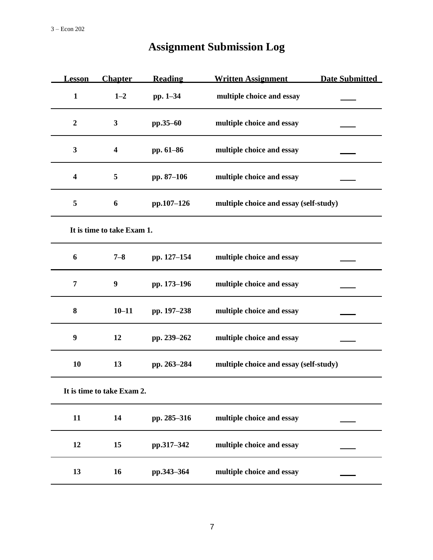| <u>Lesson</u>           | <b>Chapter</b>             | <b>Reading</b> | <b>Written Assignment</b>              | <b>Date Submitted</b> |
|-------------------------|----------------------------|----------------|----------------------------------------|-----------------------|
| $\mathbf{1}$            | $1 - 2$                    | pp. 1-34       | multiple choice and essay              |                       |
| $\boldsymbol{2}$        | 3                          | pp.35-60       | multiple choice and essay              |                       |
| 3                       | $\overline{\mathbf{4}}$    | pp. 61-86      | multiple choice and essay              |                       |
| $\overline{\mathbf{4}}$ | 5                          | pp. 87-106     | multiple choice and essay              |                       |
| 5                       | 6                          | pp.107-126     | multiple choice and essay (self-study) |                       |
|                         | It is time to take Exam 1. |                |                                        |                       |
| 6                       | $7 - 8$                    | pp. 127-154    | multiple choice and essay              |                       |
| 7                       | $\boldsymbol{9}$           | pp. 173-196    | multiple choice and essay              |                       |
| 8                       | $10 - 11$                  | pp. 197-238    | multiple choice and essay              |                       |
| $\boldsymbol{9}$        | 12                         | pp. 239-262    | multiple choice and essay              |                       |
| 10                      | 13                         | pp. 263-284    | multiple choice and essay (self-study) |                       |
|                         | It is time to take Exam 2. |                |                                        |                       |
| 11                      | 14                         | pp. 285-316    | multiple choice and essay              |                       |
| 12                      | 15                         | pp.317-342     | multiple choice and essay              |                       |
| 13                      | 16                         | pp.343-364     | multiple choice and essay              |                       |

# **Assignment Submission Log**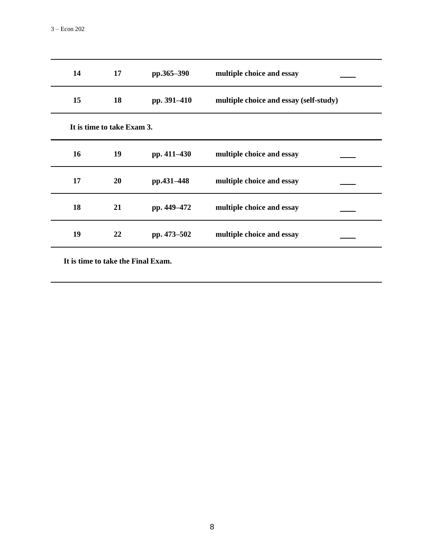| 14 | 17                         | pp.365-390  | multiple choice and essay              |
|----|----------------------------|-------------|----------------------------------------|
| 15 | 18                         | pp. 391-410 | multiple choice and essay (self-study) |
|    | It is time to take Exam 3. |             |                                        |
| 16 | 19                         | pp. 411-430 | multiple choice and essay              |
| 17 | 20                         | pp.431-448  | multiple choice and essay              |
| 18 | 21                         | pp. 449-472 | multiple choice and essay              |
| 19 | 22                         | pp. 473–502 | multiple choice and essay              |
|    |                            |             |                                        |

**It is time to take the Final Exam.**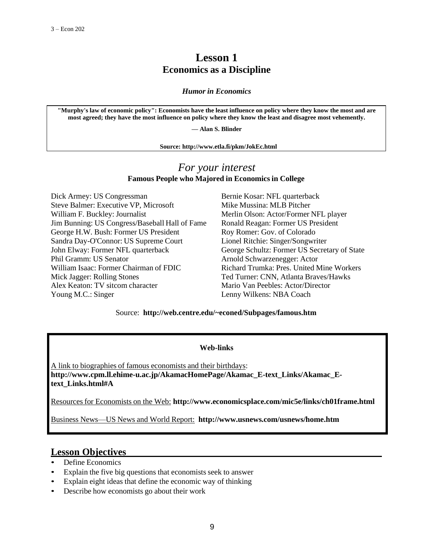# **Lesson 1 Economics as a Discipline**

*Humor in Economics*

**"Murphy's law of economic policy": Economists have the least influence on policy where they know the most and are most agreed; they have the most influence on policy where they know the least and disagree most vehemently.**

**— Alan S. Blinder**

**Source: <http://www.etla.fi/pkm/JokEc.html>**

# *For your interest* **Famous People who Majored in Economics in College**

Dick Armey: US Congressman Bernie Kosar: NFL quarterback Steve Balmer: Executive VP, Microsoft Mike Mussina: MLB Pitcher William F. Buckley: Journalist Merlin Olson: Actor/Former NFL player Jim Bunning: US Congress/Baseball Hall of Fame Ronald Reagan: Former US President George H.W. Bush: Former US President Roy Romer: Gov. of Colorado Sandra Day-O'Connor: US Supreme Court Lionel Ritchie: Singer/Songwriter John Elway: Former NFL quarterback George Schultz: Former US Secretary of State Phil Gramm: US Senator Arnold Schwarzenegger: Actor William Isaac: Former Chairman of FDIC Richard Trumka: Pres. United Mine Workers Mick Jagger: Rolling Stones Ted Turner: CNN, Atlanta Braves/Hawks Alex Keaton: TV sitcom character Mario Van Peebles: Actor/Director Young M.C.: Singer Lenny Wilkens: NBA Coach

Source: **<http://web.centre.edu/~econed/Subpages/famous.htm>**

#### **Web-links**

A link to biographies of famous economists and their birthdays: [http://www.cpm.ll.ehime-u.ac.jp/AkamacHomePage/Akamac\\_E-text\\_Links/Akamac\\_E](http://www.cpm.ll.ehime-u.ac.jp/AkamacHomePage/Akamac_E-text_Links/Akamac_E-)**text\_Links.html#A**

Resources for Economists on the Web: **<http://www.economicsplace.com/mic5e/links/ch01frame.html>**

Business News—US News and World Report: **<http://www.usnews.com/usnews/home.htm>**

# **Lesson Objectives**

- Define Economics
- Explain the five big questions that economists seek to answer
- Explain eight ideas that define the economic way of thinking
- Describe how economists go about their work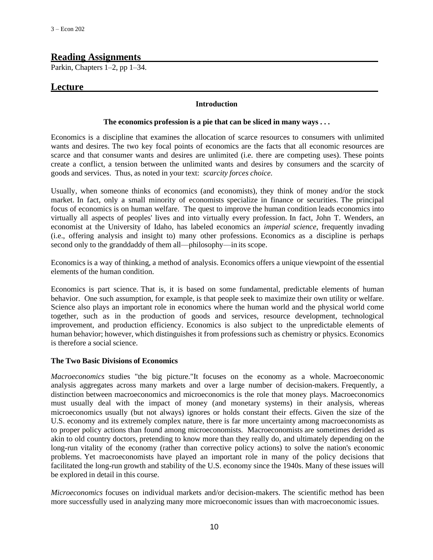## **Reading Assignments**

Parkin, Chapters 1–2, pp 1–34.

# **Lecture**

#### **Introduction**

#### **The economics profession is a pie that can be sliced in many ways . . .**

Economics is a discipline that examines the allocation of scarce resources to consumers with unlimited wants and desires. The two key focal points of economics are the facts that all economic resources are scarce and that consumer wants and desires are unlimited (i.e. there are competing uses). These points create a conflict, a tension between the unlimited wants and desires by consumers and the scarcity of goods and services. Thus, as noted in your text: *scarcity forces choice.*

Usually, when someone thinks of economics (and economists), they think of money and/or the stock market. In fact, only a small minority of economists specialize in finance or securities. The principal focus of economics is on human welfare. The quest to improve the human condition leads economics into virtually all aspects of peoples' lives and into virtually every profession. In fact, John T. Wenders, an economist at the University of Idaho, has labeled economics an *imperial science*, frequently invading (i.e., offering analysis and insight to) many other professions. Economics as a discipline is perhaps second only to the granddaddy of them all—philosophy—in its scope.

Economics is a way of thinking, a method of analysis. Economics offers a unique viewpoint of the essential elements of the human condition.

Economics is part science. That is, it is based on some fundamental, predictable elements of human behavior. One such assumption, for example, is that people seek to maximize their own utility or welfare. Science also plays an important role in economics where the human world and the physical world come together, such as in the production of goods and services, resource development, technological improvement, and production efficiency. Economics is also subject to the unpredictable elements of human behavior; however, which distinguishes it from professions such as chemistry or physics. Economics is therefore a social science.

#### **The Two Basic Divisions of Economics**

*Macroeconomics* studies "the big picture."It focuses on the economy as a whole. Macroeconomic analysis aggregates across many markets and over a large number of decision-makers. Frequently, a distinction between macroeconomics and microeconomics is the role that money plays. Macroeconomics must usually deal with the impact of money (and monetary systems) in their analysis, whereas microeconomics usually (but not always) ignores or holds constant their effects. Given the size of the U.S. economy and its extremely complex nature, there is far more uncertainty among macroeconomists as to proper policy actions than found among microeconomists. Macroeconomists are sometimes derided as akin to old country doctors, pretending to know more than they really do, and ultimately depending on the long-run vitality of the economy (rather than corrective policy actions) to solve the nation's economic problems. Yet macroeconomists have played an important role in many of the policy decisions that facilitated the long-run growth and stability of the U.S. economy since the 1940s. Many of these issues will be explored in detail in this course.

*Microeconomics* focuses on individual markets and/or decision-makers. The scientific method has been more successfully used in analyzing many more microeconomic issues than with macroeconomic issues.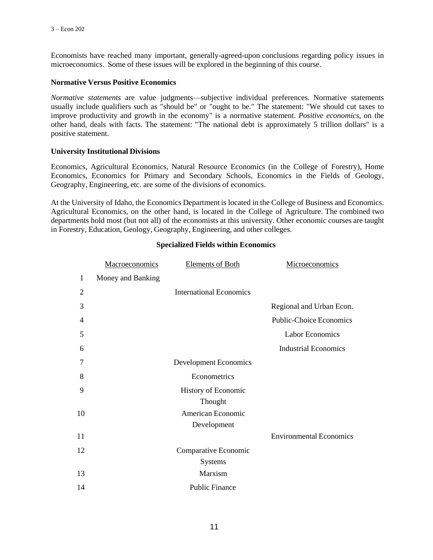Economists have reached many important, generally-agreed-upon conclusions regarding policy issues in microeconomics. Some of these issues will be explored in the beginning of this course.

#### **Normative Versus Positive Economics**

*Normative statements* are value judgments—subjective individual preferences. Normative statements usually include qualifiers such as "should be" or "ought to be." The statement: "We should cut taxes to improve productivity and growth in the economy" is a normative statement. *Positive economics*, on the other hand, deals with facts. The statement: "The national debt is approximately 5 trillion dollars" is a positive statement.

#### **University Institutional Divisions**

Economics, Agricultural Economics, Natural Resource Economics (in the College of Forestry), Home Economics, Economics for Primary and Secondary Schools, Economics in the Fields of Geology, Geography, Engineering, etc. are some of the divisions of economics.

At the University of Idaho, the Economics Department is located in the College of Business and Economics. Agricultural Economics, on the other hand, is located in the College of Agriculture. The combined two departments hold most (but not all) of the economists at this university. Other economic courses are taught in Forestry, Education, Geology, Geography, Engineering, and other colleges.

|    | <b>Macroeconomics</b> | <b>Elements of Both</b>        | Microeconomics                 |
|----|-----------------------|--------------------------------|--------------------------------|
| 1  | Money and Banking     |                                |                                |
| 2  |                       | <b>International Economics</b> |                                |
| 3  |                       |                                | Regional and Urban Econ.       |
| 4  |                       |                                | <b>Public-Choice Economics</b> |
| 5  |                       |                                | <b>Labor Economics</b>         |
| 6  |                       |                                | <b>Industrial Economics</b>    |
| 7  |                       | Development Economics          |                                |
| 8  |                       | Econometrics                   |                                |
| 9  |                       | History of Economic            |                                |
|    |                       | Thought                        |                                |
| 10 |                       | American Economic              |                                |
|    |                       | Development                    |                                |
| 11 |                       |                                | <b>Environmental Economics</b> |
| 12 |                       | Comparative Economic           |                                |
|    |                       | <b>Systems</b>                 |                                |
| 13 |                       | Marxism                        |                                |
| 14 |                       | <b>Public Finance</b>          |                                |

#### **Specialized Fields within Economics**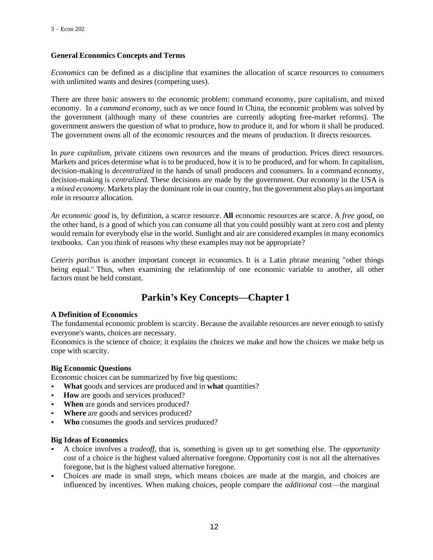#### **General Economics Concepts and Terms**

*Economics* can be defined as a discipline that examines the allocation of scarce resources to consumers with unlimited wants and desires (competing uses).

There are three basic answers to the economic problem: command economy, pure capitalism, and mixed economy. In a *command economy*, such as we once found in China, the economic problem was solved by the government (although many of these countries are currently adopting free-market reforms). The government answers the question of what to produce, how to produce it, and for whom it shall be produced. The government owns all of the economic resources and the means of production. It directs resources.

In *pure capitalism*, private citizens own resources and the means of production. Prices direct resources. Markets and prices determine what is to be produced, how it is to be produced, and for whom. In capitalism, decision-making is *decentralized* in the hands of small producers and consumers. In a command economy, decision-making is *centralized.* These decisions are made by the government. Our economy in the USA is a *mixed economy*. Markets play the dominant role in our country, but the government also plays an important role in resource allocation.

*An economic good* is, by definition, a scarce resource. **All** economic resources are scarce. A *free good*, on the other hand, is a good of which you can consume all that you could possibly want at zero cost and plenty would remain for everybody else in the world. Sunlight and air are considered examples in many economics textbooks. Can you think of reasons why these examples may not be appropriate?

*Ceteris paribus* is another important concept in economics. It is a Latin phrase meaning "other things being equal." Thus, when examining the relationship of one economic variable to another, all other factors must be held constant.

# **Parkin's Key Concepts—Chapter 1**

#### **A Definition of Economics**

The fundamental economic problem is scarcity. Because the available resources are never enough to satisfy everyone's wants, choices are necessary.

Economics is the science of choice; it explains the choices we make and how the choices we make help us cope with scarcity.

#### **Big Economic Questions**

Economic choices can be summarized by five big questions:

- **What** goods and services are produced and in **what** quantities?
- **How** are goods and services produced?
- **When** are goods and services produced?
- Where are goods and services produced?
- **Who** consumes the goods and services produced?

#### **Big Ideas of Economics**

- A choice involves a *tradeoff*, that is, something is given up to get something else. The *opportunity cost* of a choice is the highest valued alternative foregone. Opportunity cost is not all the alternatives foregone, but is the highest valued alternative foregone.
- Choices are made in small steps, which means choices are made at the margin, and choices are influenced by incentives. When making choices, people compare the *additional* cost—the marginal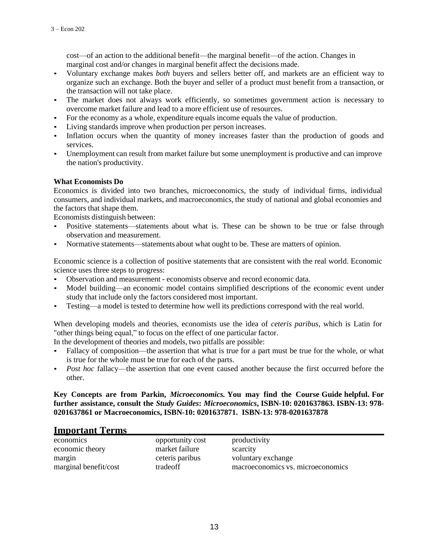cost—of an action to the additional benefit—the marginal benefit—of the action. Changes in marginal cost and/or changes in marginal benefit affect the decisions made.

- Voluntary exchange makes *both* buyers and sellers better off, and markets are an efficient way to organize such an exchange. Both the buyer and seller of a product must benefit from a transaction, or the transaction will not take place.
- The market does not always work efficiently, so sometimes government action is necessary to overcome market failure and lead to a more efficient use of resources.
- For the economy as a whole, expenditure equals income equals the value of production.
- Living standards improve when production per person increases.
- Inflation occurs when the quantity of money increases faster than the production of goods and services.
- Unemployment can result from market failure but some unemployment is productive and can improve the nation's productivity.

#### **What Economists Do**

Economics is divided into two branches, microeconomics, the study of individual firms, individual consumers, and individual markets, and macroeconomics, the study of national and global economies and the factors that shape them.

Economists distinguish between:

- Positive statements—statements about what is. These can be shown to be true or false through observation and measurement.
- Normative statements—statements about what ought to be. These are matters of opinion.

Economic science is a collection of positive statements that are consistent with the real world. Economic science uses three steps to progress:

- Observation and measurement economists observe and record economic data.
- Model building—an economic model contains simplified descriptions of the economic event under study that include only the factors considered most important.
- Testing—a model is tested to determine how well its predictions correspond with the real world.

When developing models and theories, economists use the idea of *ceteris paribus*, which is Latin for "other things being equal," to focus on the effect of one particular factor.

In the development of theories and models, two pitfalls are possible:

- Fallacy of composition—the assertion that what is true for a part must be true for the whole, or what is true for the whole must be true for each of the parts.
- *Post hoc* fallacy––the assertion that one event caused another because the first occurred before the other.

#### **Key Concepts are from Parkin,** *Microeconomics.* **You may find the Course Guide helpful. For further assistance, consult the** *Study Guides***:** *Microeconomics***, ISBN-10: 0201637863. ISBN-13: 978- 0201637861 or Macroeconomics, ISBN-10: 0201637871. ISBN-13: 978-0201637878**

#### **Important Terms**

| opportunity cost<br>market failure | productivity<br>scarcity          |
|------------------------------------|-----------------------------------|
| ceteris paribus                    | voluntary exchange                |
| tradeoff                           | macroeconomics vs. microeconomics |
|                                    |                                   |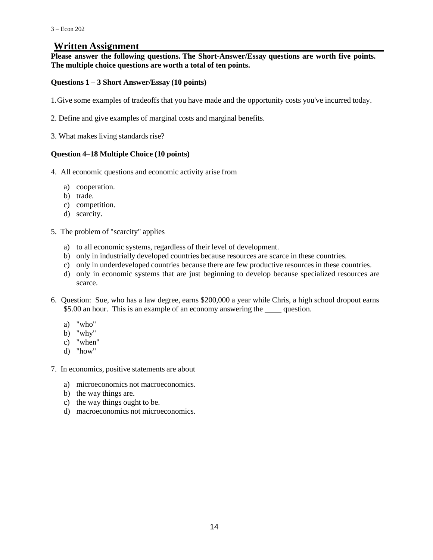# **Written Assignment**

**Please answer the following questions. The Short-Answer/Essay questions are worth five points. The multiple choice questions are worth a total of ten points.**

#### **Questions 1 – 3 Short Answer/Essay (10 points)**

1.Give some examples of tradeoffs that you have made and the opportunity costs you've incurred today.

- 2. Define and give examples of marginal costs and marginal benefits.
- 3. What makes living standards rise?

#### **Question 4–18 Multiple Choice (10 points)**

- 4. All economic questions and economic activity arise from
	- a) cooperation.
	- b) trade.
	- c) competition.
	- d) scarcity.
- 5. The problem of "scarcity" applies
	- a) to all economic systems, regardless of their level of development.
	- b) only in industrially developed countries because resources are scarce in these countries.
	- c) only in underdeveloped countries because there are few productive resources in these countries.
	- d) only in economic systems that are just beginning to develop because specialized resources are scarce.
- 6. Question: Sue, who has a law degree, earns \$200,000 a year while Chris, a high school dropout earns \$5.00 an hour. This is an example of an economy answering the question.
	- a) "who"
	- b) "why"
	- c) "when"
	- d) "how"
- 7. In economics, positive statements are about
	- a) microeconomics not macroeconomics.
	- b) the way things are.
	- c) the way things ought to be.
	- d) macroeconomics not microeconomics.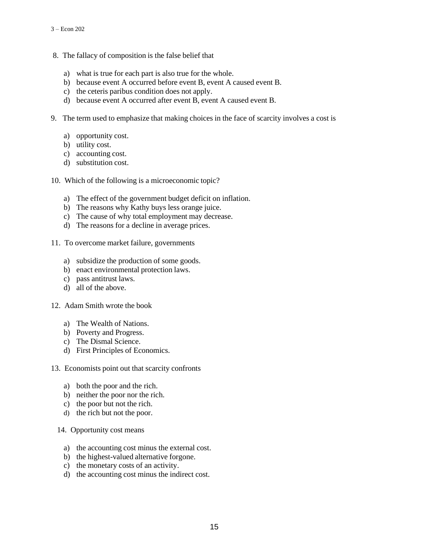- 8. The fallacy of composition is the false belief that
	- a) what is true for each part is also true for the whole.
	- b) because event A occurred before event B, event A caused event B.
	- c) the ceteris paribus condition does not apply.
	- d) because event A occurred after event B, event A caused event B.
- 9. The term used to emphasize that making choices in the face of scarcity involves a cost is
	- a) opportunity cost.
	- b) utility cost.
	- c) accounting cost.
	- d) substitution cost.
- 10. Which of the following is a microeconomic topic?
	- a) The effect of the government budget deficit on inflation.
	- b) The reasons why Kathy buys less orange juice.
	- c) The cause of why total employment may decrease.
	- d) The reasons for a decline in average prices.
- 11. To overcome market failure, governments
	- a) subsidize the production of some goods.
	- b) enact environmental protection laws.
	- c) pass antitrust laws.
	- d) all of the above.

#### 12. Adam Smith wrote the book

- a) The Wealth of Nations.
- b) Poverty and Progress.
- c) The Dismal Science.
- d) First Principles of Economics.
- 13. Economists point out that scarcity confronts
	- a) both the poor and the rich.
	- b) neither the poor nor the rich.
	- c) the poor but not the rich.
	- d) the rich but not the poor.
	- 14. Opportunity cost means
		- a) the accounting cost minus the external cost.
		- b) the highest-valued alternative forgone.
		- c) the monetary costs of an activity.
		- d) the accounting cost minus the indirect cost.